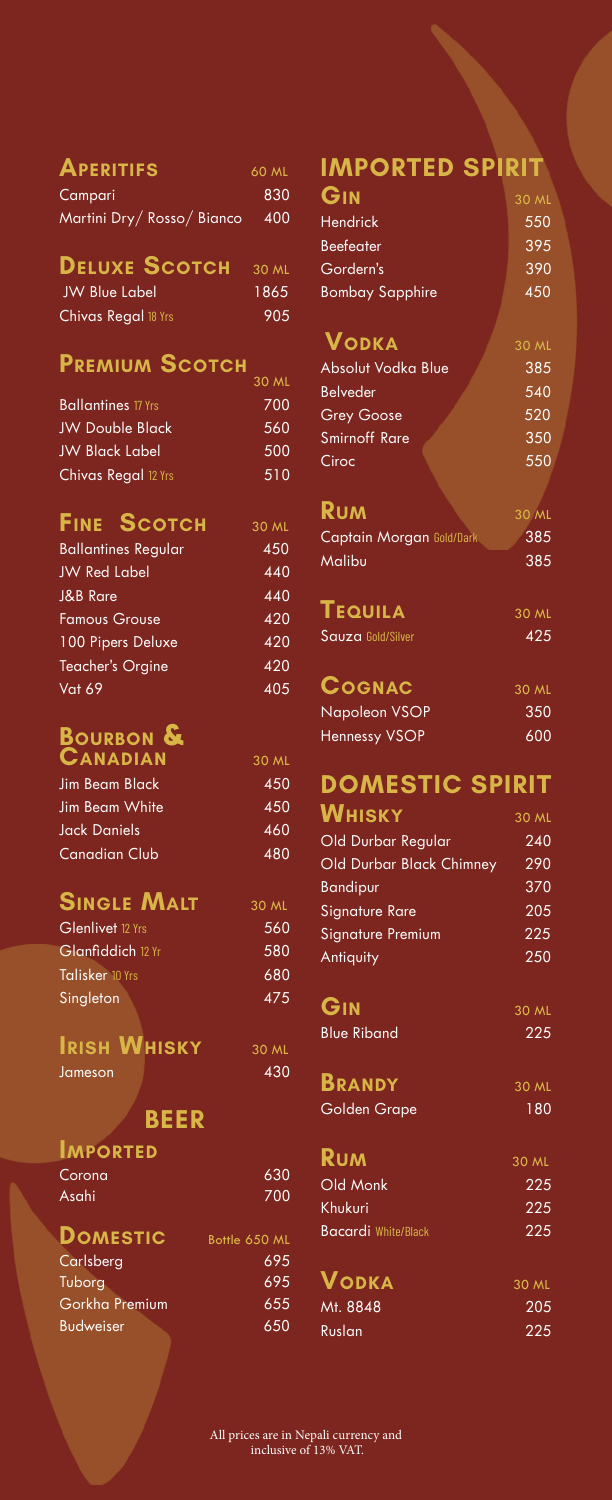| <b>APERITIFS</b>         | 60 ML |
|--------------------------|-------|
| Campari                  | 830   |
| Martini Dry/Rosso/Bianco | 400   |

# **Deluxe Scotch** 30 ML

| <b>JW Blue Label</b> | 1865 |
|----------------------|------|
| Chivas Regal 18 Yrs  | 905  |

#### **Premium Scotch**

|                            | 30 ML |
|----------------------------|-------|
| <b>Ballantines</b> 17 Yrs  | 700   |
| <b>JW Double Black</b>     | 560   |
| <b>JW Black Label</b>      | 500   |
| <b>Chivas Regal 12 Yrs</b> | 510   |

### **Fine Scotch** 30 ML

| <b>Ballantines Regular</b> | 450 |
|----------------------------|-----|
| <b>JW Red Label</b>        | 440 |
| <b>J&amp;B Rare</b>        | 440 |
| <b>Famous Grouse</b>       | 420 |
| 100 Pipers Deluxe          | 420 |
| <b>Teacher's Orgine</b>    | 420 |
| <b>Vat 69</b>              | 405 |

# **Bourbon &**

| CANADIAN              | 30 ML |
|-----------------------|-------|
| <b>Jim Beam Black</b> | 450   |
| Jim Beam White        | 450   |
| <b>Jack Daniels</b>   | 460   |
| <b>Canadian Club</b>  | 480   |
|                       |       |

### **SINGLE MALT** 30 ML

| Glenlivet 12 Yrs         | 560 |
|--------------------------|-----|
| <b>Glanfiddich</b> 12 Yr | 580 |
| <b>Talisker 10 Yrs</b>   | 680 |
| Singleton                | 475 |
|                          |     |

#### **IRISH WHISKY** 30 ML Jameson 430

# **BEER**

| <b>IMPORTED</b>  |               |
|------------------|---------------|
| Corona           | 630           |
| Asahi            | 700           |
| <b>DOMESTIC</b>  | Bottle 650 ML |
| Carlsberg        | 695           |
| Tuborg           | 695           |
| Gorkha Premium   | 655           |
| <b>Budweiser</b> | 650           |

## **IMPORTED SPIRIT**

| GIN                    | 30 ML |
|------------------------|-------|
| <b>Hendrick</b>        | 550   |
| <b>Beefeater</b>       | 395   |
| Gordern's              | 390   |
| <b>Bombay Sapphire</b> | 450   |

#### **Vodka** 30 ML

| Absolut Vodka Blue   | 385 |
|----------------------|-----|
| <b>Belveder</b>      | 540 |
| <b>Grey Goose</b>    | 520 |
| <b>Smirnoff Rare</b> | 350 |
| Ciroc                | 550 |
|                      |     |

### **RUM** 30 ML

| Captain Morgan Gold/Dark | 385 |
|--------------------------|-----|
| Malibu                   | 385 |

| <b>TEQUILA</b>    | 30 ML |
|-------------------|-------|
| Sauza Gold/Silver | 425   |

#### COGNAC

| Napoleon VSOP        | 350 |
|----------------------|-----|
| <b>Hennessy VSOP</b> | 600 |

## **DOMESTIC SPIRIT**

| <b>WHISKY</b>                   | 30 ML |
|---------------------------------|-------|
| Old Durbar Regular              | 240   |
| <b>Old Durbar Black Chimney</b> | 290   |
| <b>Bandipur</b>                 | 370   |
| <b>Signature Rare</b>           | 205   |
| <b>Signature Premium</b>        | 225   |
| Antiquity                       | 250   |
|                                 |       |

| GIN                                                                                                                     | 30 ML |
|-------------------------------------------------------------------------------------------------------------------------|-------|
| $\mathcal{L}(\mathcal{L})$ and $\mathcal{L}(\mathcal{L})$ and $\mathcal{L}(\mathcal{L})$ and $\mathcal{L}(\mathcal{L})$ |       |

Blue Riband 225

| <b>BRANDY</b> | 30 ML |
|---------------|-------|
| Golden Grape  | 180   |

| <b>RUM</b>                 |       |
|----------------------------|-------|
|                            | 30 ML |
| Old Monk                   | 225   |
| <b>Khukuri</b>             | 225   |
| <b>Bacardi White/Black</b> | 225   |

| <b>VODKA</b> | 30 ML |
|--------------|-------|
| Mt. 8848     | 205   |
| Ruslan       | 225   |